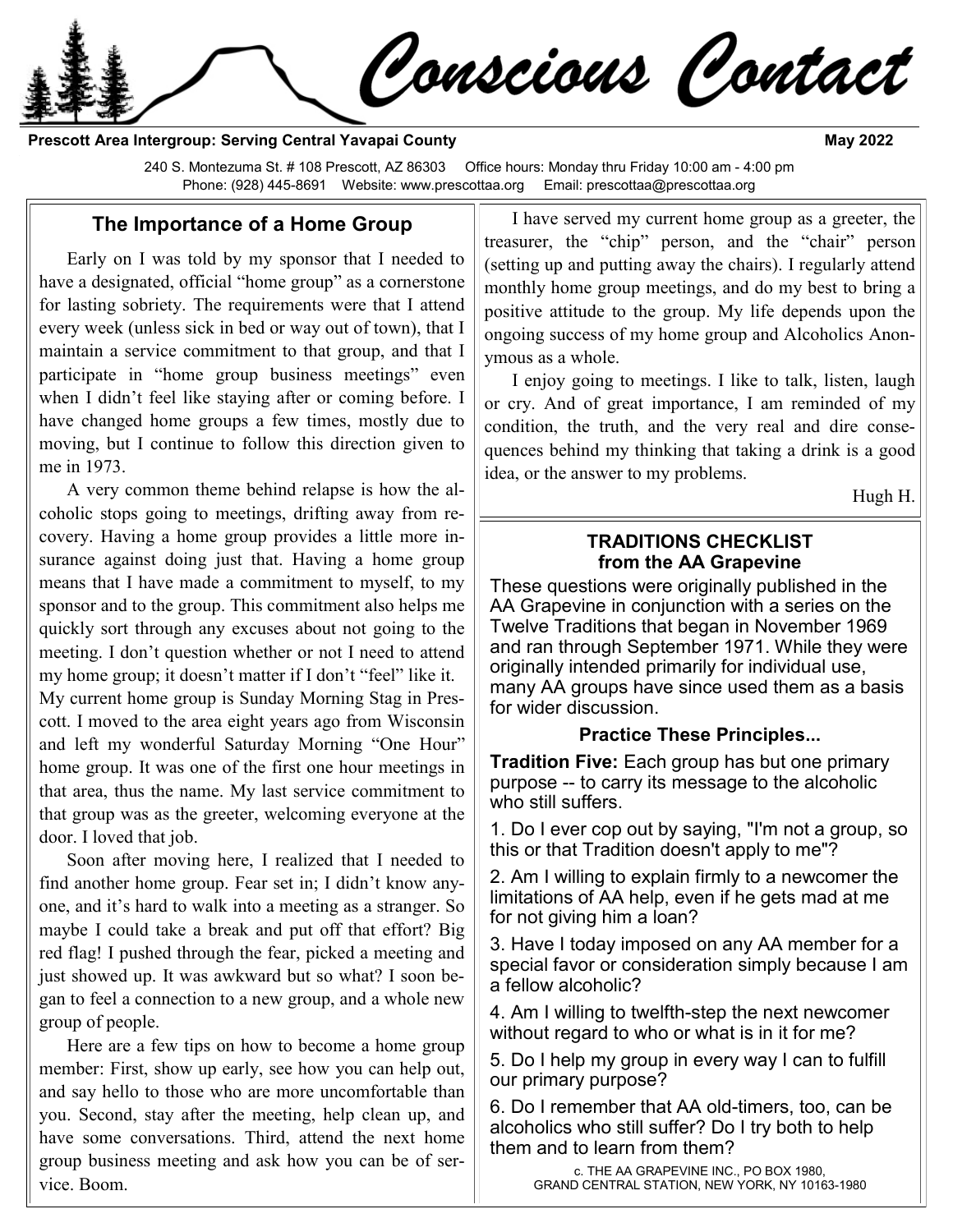Conscious Contact

**Prescott Area Intergroup: Serving Central Yavapai County May 2022** 

240 S. Montezuma St. # 108 Prescott, AZ 86303 Office hours: Monday thru Friday 10:00 am - 4:00 pm Phone: (928) 445-8691 Website: www.prescottaa.org Email: prescottaa@prescottaa.org

#### **The Importance of a Home Group**

Early on I was told by my sponsor that I needed to have a designated, official "home group" as a cornerstone for lasting sobriety. The requirements were that I attend every week (unless sick in bed or way out of town), that I maintain a service commitment to that group, and that I participate in "home group business meetings" even when I didn't feel like staying after or coming before. I have changed home groups a few times, mostly due to moving, but I continue to follow this direction given to me in 1973.

A very common theme behind relapse is how the alcoholic stops going to meetings, drifting away from recovery. Having a home group provides a little more insurance against doing just that. Having a home group means that I have made a commitment to myself, to my sponsor and to the group. This commitment also helps me quickly sort through any excuses about not going to the meeting. I don't question whether or not I need to attend my home group; it doesn't matter if I don't "feel" like it. My current home group is Sunday Morning Stag in Prescott. I moved to the area eight years ago from Wisconsin and left my wonderful Saturday Morning "One Hour" home group. It was one of the first one hour meetings in that area, thus the name. My last service commitment to that group was as the greeter, welcoming everyone at the door. I loved that job.

Soon after moving here, I realized that I needed to find another home group. Fear set in; I didn't know anyone, and it's hard to walk into a meeting as a stranger. So maybe I could take a break and put off that effort? Big red flag! I pushed through the fear, picked a meeting and just showed up. It was awkward but so what? I soon began to feel a connection to a new group, and a whole new group of people.

Here are a few tips on how to become a home group member: First, show up early, see how you can help out, and say hello to those who are more uncomfortable than you. Second, stay after the meeting, help clean up, and have some conversations. Third, attend the next home group business meeting and ask how you can be of service. Boom.

I have served my current home group as a greeter, the treasurer, the "chip" person, and the "chair" person (setting up and putting away the chairs). I regularly attend monthly home group meetings, and do my best to bring a positive attitude to the group. My life depends upon the ongoing success of my home group and Alcoholics Anonymous as a whole.

I enjoy going to meetings. I like to talk, listen, laugh or cry. And of great importance, I am reminded of my condition, the truth, and the very real and dire consequences behind my thinking that taking a drink is a good idea, or the answer to my problems.

Hugh H.

#### **TRADITIONS CHECKLIST from the AA Grapevine**

These questions were originally published in the AA Grapevine in conjunction with a series on the Twelve Traditions that began in November 1969 and ran through September 1971. While they were originally intended primarily for individual use, many AA groups have since used them as a basis for wider discussion.

## **Practice These Principles...**

**Tradition Five:** Each group has but one primary purpose -- to carry its message to the alcoholic who still suffers.

1. Do I ever cop out by saying, "I'm not a group, so this or that Tradition doesn't apply to me"?

2. Am I willing to explain firmly to a newcomer the limitations of AA help, even if he gets mad at me for not giving him a loan?

3. Have I today imposed on any AA member for a special favor or consideration simply because I am a fellow alcoholic?

4. Am I willing to twelfth-step the next newcomer without regard to who or what is in it for me?

5. Do I help my group in every way I can to fulfill our primary purpose?

6. Do I remember that AA old-timers, too, can be alcoholics who still suffer? Do I try both to help them and to learn from them?

> c. THE AA GRAPEVINE INC., PO BOX 1980, GRAND CENTRAL STATION, NEW YORK, NY 10163-1980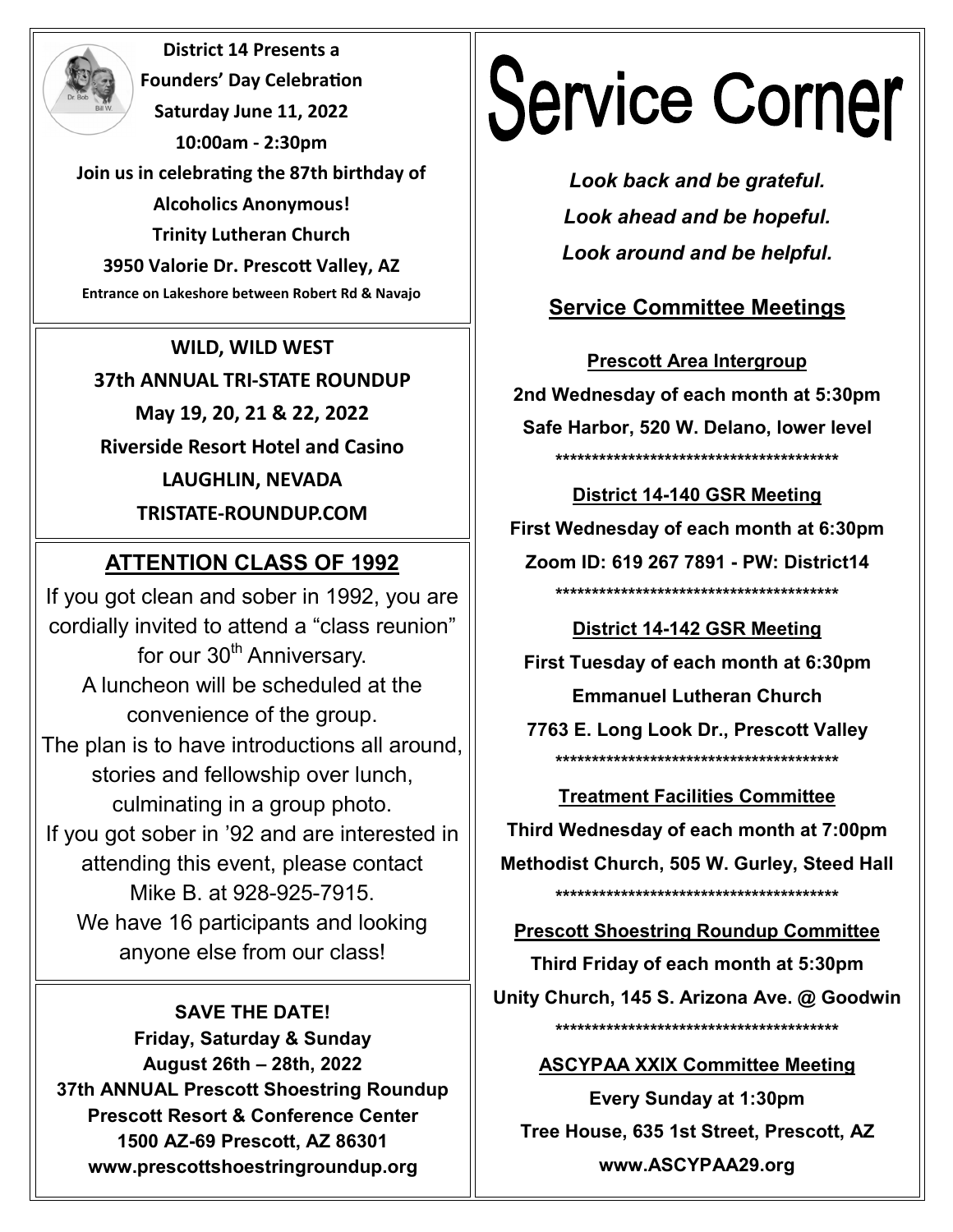**District 14 Presents a Founders' Day Celebration Saturday June 11, 2022 10:00am - 2:30pm Join us in celebrating the 87th birthday of Alcoholics Anonymous! Trinity Lutheran Church 3950 Valorie Dr. Prescott Valley, AZ Entrance on Lakeshore between Robert Rd & Navajo** 

**WILD, WILD WEST 37th ANNUAL TRI-STATE ROUNDUP May 19, 20, 21 & 22, 2022 Riverside Resort Hotel and Casino LAUGHLIN, NEVADA TRISTATE-ROUNDUP.COM**

## **ATTENTION CLASS OF 1992**

If you got clean and sober in 1992, you are cordially invited to attend a "class reunion" for our 30<sup>th</sup> Anniversary. A luncheon will be scheduled at the convenience of the group. The plan is to have introductions all around, stories and fellowship over lunch, culminating in a group photo. If you got sober in '92 and are interested in attending this event, please contact Mike B. at 928-925-7915. We have 16 participants and looking anyone else from our class!

#### **SAVE THE DATE!**

**Friday, Saturday & Sunday August 26th – 28th, 2022 37th ANNUAL Prescott Shoestring Roundup Prescott Resort & Conference Center 1500 AZ-69 Prescott, AZ 86301 www.prescottshoestringroundup.org** 

# **Service Corner**

*Look back and be grateful. Look ahead and be hopeful. Look around and be helpful.*

## **Service Committee Meetings**

**Prescott Area Intergroup 2nd Wednesday of each month at 5:30pm Safe Harbor, 520 W. Delano, lower level \*\*\*\*\*\*\*\*\*\*\*\*\*\*\*\*\*\*\*\*\*\*\*\*\*\*\*\*\*\*\*\*\*\*\*\*\*\*\***

**District 14-140 GSR Meeting First Wednesday of each month at 6:30pm Zoom ID: 619 267 7891 - PW: District14 \*\*\*\*\*\*\*\*\*\*\*\*\*\*\*\*\*\*\*\*\*\*\*\*\*\*\*\*\*\*\*\*\*\*\*\*\*\*\***

**District 14-142 GSR Meeting First Tuesday of each month at 6:30pm Emmanuel Lutheran Church 7763 E. Long Look Dr., Prescott Valley \*\*\*\*\*\*\*\*\*\*\*\*\*\*\*\*\*\*\*\*\*\*\*\*\*\*\*\*\*\*\*\*\*\*\*\*\*\*\***

**Treatment Facilities Committee Third Wednesday of each month at 7:00pm Methodist Church, 505 W. Gurley, Steed Hall \*\*\*\*\*\*\*\*\*\*\*\*\*\*\*\*\*\*\*\*\*\*\*\*\*\*\*\*\*\*\*\*\*\*\*\*\*\*\***

**Prescott Shoestring Roundup Committee**

**Third Friday of each month at 5:30pm Unity Church, 145 S. Arizona Ave. @ Goodwin \*\*\*\*\*\*\*\*\*\*\*\*\*\*\*\*\*\*\*\*\*\*\*\*\*\*\*\*\*\*\*\*\*\*\*\*\*\*\***

## **ASCYPAA XXIX Committee Meeting**

**Every Sunday at 1:30pm Tree House, 635 1st Street, Prescott, AZ www.ASCYPAA29.org**